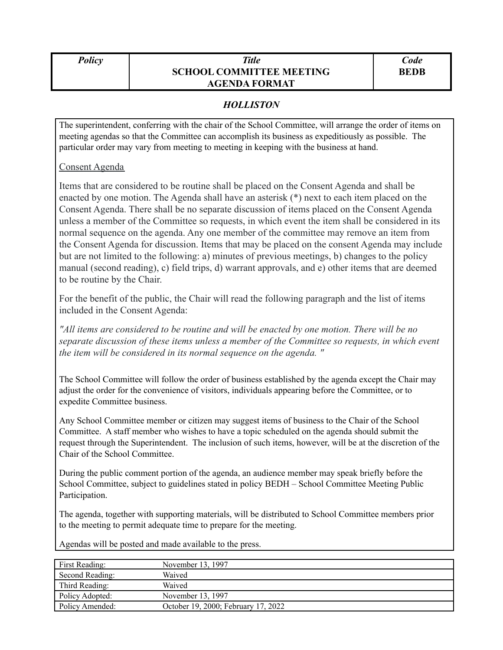## *Policy Title* **SCHOOL COMMITTEE MEETING AGENDA FORMAT**

## *HOLLISTON*

The superintendent, conferring with the chair of the School Committee, will arrange the order of items on meeting agendas so that the Committee can accomplish its business as expeditiously as possible. The particular order may vary from meeting to meeting in keeping with the business at hand.

## Consent Agenda

Items that are considered to be routine shall be placed on the Consent Agenda and shall be enacted by one motion. The Agenda shall have an asterisk (\*) next to each item placed on the Consent Agenda. There shall be no separate discussion of items placed on the Consent Agenda unless a member of the Committee so requests, in which event the item shall be considered in its normal sequence on the agenda. Any one member of the committee may remove an item from the Consent Agenda for discussion. Items that may be placed on the consent Agenda may include but are not limited to the following: a) minutes of previous meetings, b) changes to the policy manual (second reading), c) field trips, d) warrant approvals, and e) other items that are deemed to be routine by the Chair.

For the benefit of the public, the Chair will read the following paragraph and the list of items included in the Consent Agenda:

*"All items are considered to be routine and will be enacted by one motion. There will be no separate discussion of these items unless a member of the Committee so requests, in which event the item will be considered in its normal sequence on the agenda. "*

The School Committee will follow the order of business established by the agenda except the Chair may adjust the order for the convenience of visitors, individuals appearing before the Committee, or to expedite Committee business.

Any School Committee member or citizen may suggest items of business to the Chair of the School Committee. A staff member who wishes to have a topic scheduled on the agenda should submit the request through the Superintendent. The inclusion of such items, however, will be at the discretion of the Chair of the School Committee.

During the public comment portion of the agenda, an audience member may speak briefly before the School Committee, subject to guidelines stated in policy BEDH – School Committee Meeting Public Participation.

The agenda, together with supporting materials, will be distributed to School Committee members prior to the meeting to permit adequate time to prepare for the meeting.

Agendas will be posted and made available to the press.

| First Reading:  | November 13, 1997                   |
|-----------------|-------------------------------------|
| Second Reading: | Waived                              |
| Third Reading:  | Waived                              |
| Policy Adopted: | November 13, 1997                   |
| Policy Amended: | October 19, 2000; February 17, 2022 |